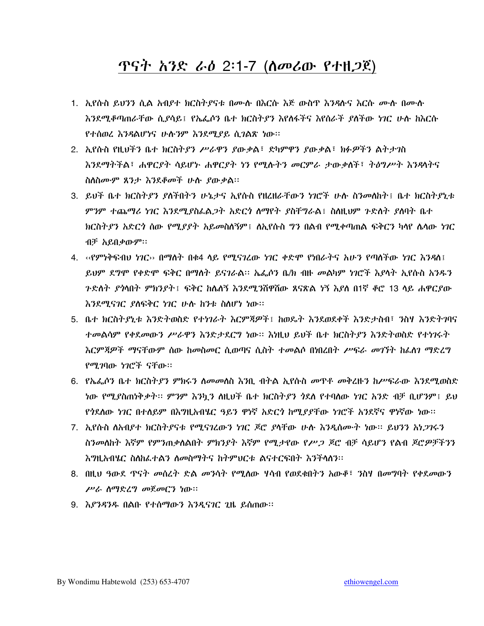# <u>ጥናት አንድ ራዕ 2</u>፡1-7 (ስመሪው የተዘ*ጋ*ጀ)

- 1. ኢየሱስ ይህንን ሲል አብያተ ክርስትያናቱ በሙሉ በእርሱ እጅ ውስዋ እንዳሉና እርሱ ሙሉ በሙሉ እንደሚቆጣጠራቸው ሲደሳይ፤ የኤፌሶን ቤተ ክርስትደን እየለፋችና እየሰራች ደስችው ነገር ሁሉ ከእርሱ የተሰወረ እንዳልሆነና ሁሉንም እንደሚያይ ሲገልጽ ነው።
- 2. እ.የሱስ የዚህችን ቤተ ክርስትያን ሥራዋን ያውቃል፤ ድካምዋን ያውቃል፤ ክፉዎችን ልትታንስ እንደማትችል፣ ሐዋርያት ሳይሆኑ ሐዋርያት ነን የሚሱትን መርምራ ታውቃለች፣ ትዕግሥት እንዳሳትና ስለስሙም ጸንታ እንደቆመች ሁሱ ያውቃል።
- 3. ይህች ቤተ ክርስትያን ያለችበትን ሁኔታና ኢየሱስ የዘረዘራቸውን ነገሮች ሁሉ ስንመለከት፤ ቤተ ክርስትያኒቱ *ምን*ም ተጨማሪ *ነገር እን*ደሚ*ያስ*ራል*ጋት አ*ድር*ጎ ስማየት ያስቸግራ*ል፤ ስለዚህም *ጉ*ድለት ያለባት ቤተ ክርስት*ያን አ*ድር*ጎ* ሰው የሚ*ያያ*ት አይመስለኝም፤ ለኢየሱስ **ግን በልብ የሚቀጣጠል ፍቅርን ካ**ላየ ሴላው ነገር ብቻ አይበቃውም።
- 4. ‹‹የምነቅፍብህ ነገር›› በማስት በቁ4 ላይ የሚናገረው ነገር ቀድሞ የነበራትና አሁን የጣስችው ነገር እንዳለ፤ ይህም ደግሞ የቀድሞ ፍቅር በማስት ይናገራል። ኤፌሶን ቤ/ክ ብዙ መልካም ነገሮች እያሳት ኢየሱስ አንዱን *ጉድለት ያሳ*ነበት ምክንደት፤ ፍቅር ከሌለኝ እንደሚ*ን*ሸዋሽው ጸናጽል ነኝ እደለ በ1ኛ ቆሮ 13 ላይ ሐዋርደው እንደሚናገር ያስፍቅር ነገር ሁሉ ከንቱ ስስሆነ ነው።
- 5. ቤተ ክርስትያኒቱ እንድትወስድ የተነገራት እርምጃዎች፤ ከወዴት እንደወደቀች እንድታስብ፣ ንስሃ እንድትገባና ተመልሳም የቀደመውን ሥራዋን እንድታደርግ ነው። እነዚህ ይህች ቤተ ክርስትያን እንድትወስድ የተነገሩት እርምጃዎች ማናቸውም ሰው ከመስመር ሲወጣና ሲስት ተመልሶ በነበረበት ሥፍራ መገኘት ከፌስን ማድረግ የሚገባው ነገሮች ናቸው።
- 6. የሌፌሶን ቤተ ክርስትያን ምክሩን ስመመስስ እንቢ ብትል ኢየሱስ መዋቶ መቅረዙን ከሥፍራው እንደሚወስድ <u>ነው የሚደስጠነቅቃት። ምንም እንኳን ስዚህች ቤተ ክርስት*ያን ጎ*ደለ የተባለው *ነገ*ር አንድ ብቻ ቢሆንም፤ ይህ</u> የጎደለው *ነገ*ር በተለይም በእግዚአብሄር ዓይን ዋነኛ አድር*ጎ* ከሚደደቸው ነገሮች አንደኛና ዋነኛው ነው፡፡
- 7. ኢየሱስ ለአብያተ ክርስትያናቱ የሚናገረውን ነገር ጆሮ ያሳቸው ሁሉ እንዲሰሙት ነው። ይህንን አነ*ጋገ*ሩን ስንመለከት እኛም የምንጠቃለልበት ምክንያት እኛም የሚታየው የሥጋ ጆሮ ብቻ ሳይሆን የልብ ጆሮዎቻችንን እግዚአብሄር ስለከፌተልን ስመስማትና ከትምህርቱ ልናተርፍበት እንችላለን፡፡
- 8. በዚህ ዓውደ ዋናት መሰረት ድል መንሳት የሚለው ሃሳብ የወደቁበትን አውቆ፣ ንስሃ በመግባት የቀደመውን ሥራ ስማድረግ መጀመርን ነው።
- 9. እያንዳንዱ በልቡ የተሰማውን እንዲናገር ጊዜ ይሰጠው።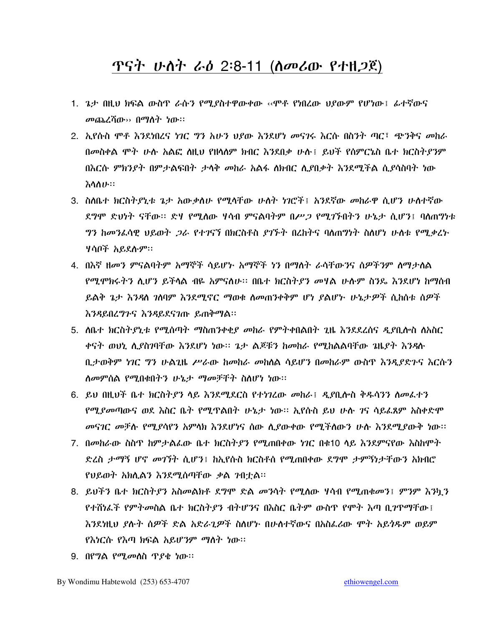# ጥናት ሁስት ራዕ 2:8-11 (ሰመሪው የተዘጋጀ)

- 1. ጌታ በዚህ ክፍል ውስጥ ራሱን የሚያስተዋውቀው ‹‹ሞቶ የነበረው ህያውም የሆነው፤ ፊተኛውና መጨረሻው›› በማስት *ነ*ው።
- 2. ኢየሱስ ሞቶ እንደነበረና ነገር ግን አሁን ህደው እንደሆነ መናገሩ እርሱ በስንት ጣር፣ ጭንቅና መከራ በመስቀል ሞት ሁሉ አልፎ ስዚህ የዘሳለም ክብር እንደበቃ ሁሉ፤ ይህች የሰምርኔስ ቤተ ክርስት*ያን*ም በእርሱ ምክንያት በምታልፍበት ታሳቅ መከራ አልፋ ለክብር ሊያበቃት እንደሚችል ሲያሳስባት ነው えへんしい
- 3. ስስቤተ ክርስትያኒቱ ጌታ አውቃለሁ የሚላቸው ሁስት ነገሮች፤ አንደኛው መከራዋ ሲሆን ሁስተኛው ደግሞ ድህነት ናቸው። ድሃ የሚለው ሃሳብ ምናልባትም በሥ*ጋ* የሚገኙበትን ሁኔታ ሲሆን፤ ባለጠግነቱ *ግን ከመን*ፈሳዊ ህይወት *ጋራ የተገ*ናኘ በክርስቶስ *ያገኙት* በረከትና ባለጠግነት ስለሆነ ሁለቱ የሚ*ቃ*ረኑ ሃሳቦች አይደሱም።
- 4. በእኛ ዘመን ምናልባትም አማኞች ሳይሆኑ አማኞች ነን በማለት ራሳቸውንና ስዎችንም ለማታለል የሚሞክሩትን ሲሆን ይችላል ብዬ አምናለሁ፡፡ በቤተ ክርስትያን መሃል ሁሉም ስንዴ እንደሆነ ከማሰብ ይልቅ ጌታ እንዳስ ገለባም እንደሚኖር ማወቁ ስመጠንቀቅም ሆነ ያልሆኑ ሁኔታዎች ሲከስቱ ስዎች እንዳይበረግጉና እንዳይደናገጡ ይጠቅማል፡፡
- 5. ስቤተ ክርስትያኒቱ የሚሰጣት ማስጠንቀቂያ መከራ የምትቀበልበት ጊዜ እንደደረሰና ዲያቢሎስ ስአስር ቀናት ወህኒ ሊያስገባቸው እንደሆነ ነው፡፡ ጌታ ልጆቹን ከመከራ የሚከልልባቸው ጌዜያት እንዳሉ ቢታወቅም ነገር ግን ሁልጊዜ ሥራው ከመከራ መከለል ሳይሆን በመከራም ውስጥ እንዲደድጉና እርሱን ስመምሰል የሚበቁበትን ሁኔታ ማመቻቸት ስስሆነ ነው።
- 6. ይህ በዚህች ቤተ ክርስትያን ላይ እንደሚደርስ የተነገረው *መ*ከራ፤ *ዲያ*ቢሎስ ቅዱሳንን ስመፌተን *የሚያመ*ጣውና ወደ እስር ቤት የሚዋልበት ሁኔታ ነው። ኢየሱስ ይህ ሁሉ *ገ*ና ሳይፌጸም አስቀድሞ መናገር መቻሉ የሚያሳየን አምላክ እንደሆነና ሰው ሲያውቀው የሚችሰውን ሁሉ እንደሚያውቅ ነው፡፡
- 7. በመከራው ስስዋ ከምታልፌው ቤተ ክርስትያን የሚጠበቀው ነገር በቁ10 ላይ እንደምናየው እስከሞት ድረስ ታማኝ ሆኖ መገኘት ሲሆን፤ ከኢየሱስ ክርስቶስ የሚጠበቀው ደግሞ ታምኝነታቸውን አክብሮ የሀይወት አክሊልን እንደሚሰጣቸው ቃል ንብተል፡፡
- 8. ይህችን ቤተ ክርስትያን አስመልክቶ ደግሞ ድል መንሳት የሚሰው ሃሳብ የሚጠቁመን፤ ምንም እንኳን የተሸነፌች የምትመስል ቤተ ክርስትያን ብትሆንና በእስር ቤትም ውስዋ የሞት እጣ ቢገዋማቸው፤ እንደነዚህ ያሉት ስዎች ድል አድራጊዎች ስስሆኑ በሁስተኛውና በአስፌሪው ሞት አይንዱም ወይም የእነርሱ የእጣ ክፍል አይሆንም ማለት ነው።
- 9. በየግል የሚመለስ ጥያቄ ነው።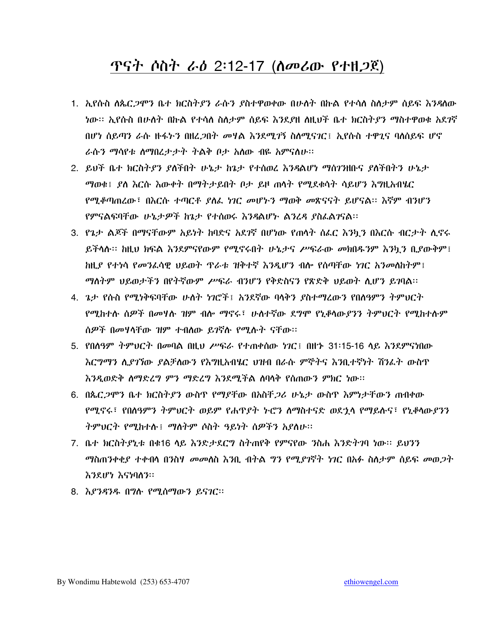# ጥናት ሶስት ራ*ዕ* 2፡12-17 (ስመሪው የተዘ*ጋ*ጀ)

- 1. ኢየሱስ ለጴር*ጋ*ሞን ቤተ ክርስት*ያን ራ*ሱን ያስተዋወቀው በሁለት በኩል የተሳለ ስለታም ሰይፍ እንዳለው በሆነ ሰይጣን ራሱ ዙፋኑን በዘረ*ጋ*በት *መ*ዛል እንደሚ*ገ*ኝ ስለሚናገር፤ ኢየሱስ ተዋጊና ባለሰይፍ ሆኖ ራሱን ማሳየቱ ስማበረታታት ትልቅ ቦታ አስው ብዬ አምናስሁ፡፡
- 2. ይህች ቤተ ክርስትያን ያለችበት ሁኔታ ከጌታ የተሰወረ እንዳልሆነ ማስገንዘቡና ያለችበትን ሁኔታ ማወቁ፤ ደለ እርሱ እውቀት በማትታይበት ቦታ ይዞ ጠሳት የሚደቁሳት ሳይሆን እግዚአብሄር የሚቆጣጠረው፣ በእርሱ ተጣርቶ ያለፌ ነገር መሆኑን ማወቅ መጽናናት ይሆናል። እኛም ብንሆን የምናልፍባቸው ሁኔታዎች ከጌታ የተሰወሩ እንዳልሆኑ ልንሬዳ ያስፌልገናል፡፡
- 3. የጌታ ልጆች በማናቸውም አይነት ከባድና አደንኛ በሆነው የጠሳት ሰፌር እንኳን በእርሱ ብርታት ሲኖሩ ይችሳሉ። ከዚህ ክፍል እንደምናየውም የሚኖሩበት ሁኔታና ሥፍራው መክበዱንም እንካን ቢያውቅም፤ ከዚ*ያ የተነ*ሳ *የመን*ፈሳዊ ህይወት ጥራቱ ዝቅተኛ እንዲሆን ብሎ የሰጣቸው *ነገር አንመ*ለከትም፤ ማለትም ህይወታችን በየትኛውም ሥፍራ ብንሆን የቅድስናን የጽድቅ ህይወት ሲሆን ይገባል።
- 4. ጌታ የሱስ የሚነቅፍባቸው ሁለት ነገሮች፤ አንደኛው ባላቅን ያስተማረውን የበለዓምን ትምህርት የሚከተሱ ሰዎች በመዛሱ ዝም ብሎ ማኖሩ፣ ሁስተኛው ደግሞ የኒቆሳው*ያንን ት*ምህርት የሚከተሱም ሰዎች በመሃሳቸው ዝም ተብስው ይገኛሉ የሚሉት ናቸው፡፡
- 5. የበሰዓም ትምህርት በመባል በዚህ ሥፍራ የተጠቀሰው ነገር፤ በዘተ 31፡15-16 ላይ እንደምናነበው እር*ግግን ሊያገኘ*ው *ያ*ልቻለውን የእግዚአብሄር ህዝብ በራሱ ምኞትና እንቢተኛነት ሽንፌት ውስጥ እንዲወድቅ ስማድረግ ምን ማድረግ እንደሚችል ስባሳቅ የሰጠውን ምክር ነው፡፡
- 6. በጴር*ጋ*ሞን ቤተ ክርስት*ያ*ን ውስዋ የማያቸው በአስቸ*ጋ*ሪ ሁኔታ ውስዋ እምነታቸውን ጠብቀው የሚኖሩ፣ የበስዓምን ትምህርት ወይም የሐጥያት ኑሮን ስማስተናድ ወደኂላ የማይሱና፣ የኒቆሳውያንን ትምህርት የሚከተሱ፤ ማስትም ሶስት ዓይነት ሰዎችን አያስሁ፡፡
- 7. ቤተ ክርስትያኒቱ በቁ16 ላይ እንድታደርግ ስትጠየቅ የምናየው ንስሐ እንድትገባ ነው። ይህንን *ማ*ስጠንቀቂ*ያ ተቀ*ብሳ በንስሃ *መ*መስስ እንቢ ብትል *ግን የሚያገ*ኛት ነገር በአፉ ስለታም ሰይፍ መወ*ጋ*ት እንደሆነ እናነባለን።
- 8. እያንዳንዱ በግሱ የሚሰማውን ይናገር።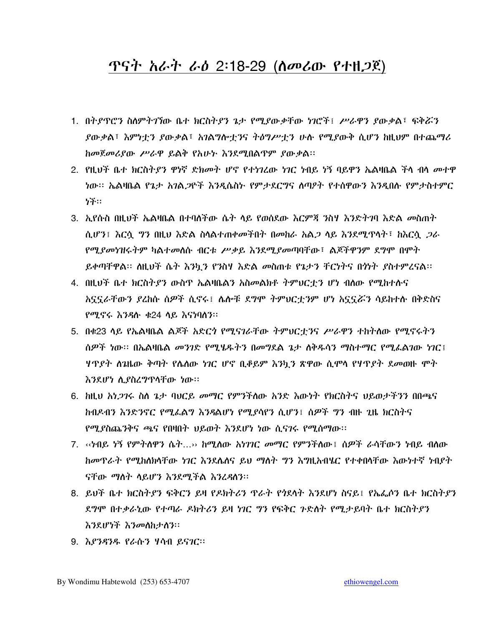#### <u> ጥናት አራት ራዕ 2፡18-29 (ስመሪው የተዘጋጀ)</u>

- 1. በትያዋሮን ስለምትገኘው ቤተ ክርስትያን ጌታ የሚያውቃቸው ነገሮች፤ ሥራዋን ያውቃል፣ ፍቅሯን ያውቃል፣ እምነተን ያውቃል፣ አንልግሎተንና ትዕግሥተን ሁሉ የሚያውቅ ሲሆን ከዚህም በተጨማሪ ከመጀመሪያው ሥራዋ ይልቅ የአሁት እንደሚበልጥም ያውቃል፡፡
- 2. የዚህች ቤተ ክርስትያን ዋነኛ ድክመት ሆኖ የተነገረው ነገር ነብይ ነኝ ባይዋን ኤልዛቤል ችላ ብላ መተዋ ነው። ኤልዛቤል የኔታ አንል*ጋ*ዮች እንዲሴስኮ የምታደርግና ስጣዖት የተሰዋውን እንዲበሱ የምታስተምር 7子:
- 3. ኢየሱስ በዚህች ኤልዛቤል በተባለችው ሴት ላይ የወሰደው እርምጃ ንስሃ እንድትንባ እድል መስጠት ሲሆን፤ እርሳ *ግን* በዚህ እድል ስላልተጠቀመችበት በመከራ አል*ጋ* ላይ እንደሚጥላት፤ ከእርሳ *ጋ*ራ *የሚያመነዝሩትም ካ*ልተ*መ*ለሱ ብርቱ *ሥቃይ እን*ደሚ*ያመ*ጣባቸው፣ ልጆችዋንም ደግሞ በሞት ይቀጣቸዋል፡፡ ስዚህች ሴት እንካ*ን የን*ስሃ እድል *መ*ስጠቱ የኔታን ቸርነትና በጎነት ያስተምረናል፡፡
- 4. በዚህች ቤተ ክርስትያን ውስጥ ኤልዛቤልን አስመልክቶ ትምህርቷን ሆነ ብለው የሚከተሱና አኗኗራቸውን ደረከሱ ሰዎች ሲኖሩ፤ ሴሎቹ ደግሞ ትምህርቷንም ሆነ አኗኗሯን ሳይከተሱ በቅድስና የሚኖሩ እንዳሉ ቁ24 ላይ እናነባለን።
- 5. በቁ23 ላይ የኤልዛቤል ልጆች አድር*ጎ የሚናገራ*ቸው ትምህርተ*ን*ና ሥራዋን ተከትለው የሚኖሩትን ሰዎች ነው። በኤልዛቤል መንገድ የሚሄዱትን በመግደል ጌታ ስቅዱሳን ማስተማር የሚፌልገው ነገር፤ ሃዋያት ስኔዜው ቅጣት የሴስው ነገር ሆኖ ቢቆይም እንኳን ጽዋው ሲሞላ የሃዋያት ደመወዙ ሞት እንደሆነ ሲያስረግጥላቸው ነው።
- 6. ከዚህ አነ*ጋገ*ሩ ስስ ጌታ ባህርይ መማር የምንችስው አንድ እውነት የክርስትና ህይወታችንን በበጫና ከብዶብን እንድንኖር የሚፌልግ እንዳልሆነ የሚደሳየን ሲሆን፤ ሰዎች ግን ብዙ ጊዜ ክርስትና የሚያስጨንቅና ጫና የበዛበት ህይወት እንደሆነ ነው ሲናገሩ የሚሰማው፡፡
- 7. ‹‹ታብይ ነኝ የምትስዋን ሴት…›› ከሚስው *አነገገር መማር የምንችስ*ው፤ ስ*ዎች ራ*ሳቸው*ን ነ*ብይ ብስው ከመጥራት የሚከስክሳቸው ነገር እንደሴሰና ይህ ማስት ግን እግዚአብሄር የተቀበሳቸው እውነተኛ ነብያት ናቸው ማስት ሳይሆን እንደሚችል እንረዳሰን።
- 8. ይህች ቤተ ክርስትያን ፍቅርን ይዛ የዶክትሪን ጥራት የንደሳት እንደሆነ ስናይ፤ የኤፌሶን ቤተ ክርስትያን ደግሞ በተቃራኒው የተጣራ ዶክትሪን ይዛ ነገር ግን የፍቅር ጉድስት የሚታይባት ቤተ ክርስትያን እንደሆነች እንመስከታስን።
- 9. እያንዳንዱ የራሱን ሃሳብ ይናገር።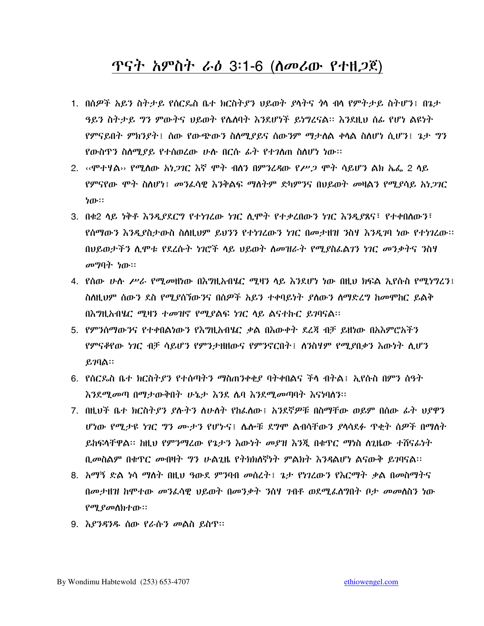### ጥናት አምስት ራዕ 3፡1-6 (ስመሪው የተዘ*ጋ*ጀ)

- 1. በሰዎች አይን ስትታይ የሰርጴስ ቤተ ክርስትያን ህይወት ያላትና *ነ*ላ ብላ የምትታይ ስትሆን፤ በጌታ ዓይን ስትታይ ግን ምውትና ህይወት የሴስባት እንደሆነች ይነግረናል። እንደዚህ ሰፊ የሆነ ልዩነት የምናይበት ምክንያት፤ ሰው የውጭውን ስለሚያይና ሰውንም ማታለል ቀላል ስለሆነ ሲሆን፤ ጌታ ግን የውስዋን ስለሚያይ የተሰወረው ሁስ በርስ ፊት የተገለጠ ስለሆነ ነው።
- 2. ‹‹ሞተዛል›› የሚለው *አነጋገ*ር እኛ ሞት ብለን በምንረዳው የ*ሥጋ* ሞት ሳይሆን ልክ ኤፌ 2 ሳይ የምናየው ሞት ስለሆነ፤ መንፌሳዊ እንቅልፍ ማስትም ድካምንና በህይወት መዛልን የሚያሳይ አነ*ጋገ*ር ነው።
- 3. በቁ2 ላይ ነቅቶ እንዲያደርግ የተነገረው ነገር ሲሞት የተቃረበውን ነገር እንዲያጸና፣ የተቀበለውን፣ የሰማውን እንዲያስታውስ ስስዚህም ይህንን የተነገረውን ነገር በመታዘዝ ንስሃ እንዲገባ ነው የተነገረው፡፡ በህይወታችን ሲሞቱ የደረሱት ነገሮች ላይ ህይወት ስመዝራት የሚያስፌልገን ነገር መንቃትና ንስሃ መማባት ነው።
- 4. የሰው ሁሉ ሥራ የሚመዘነው በእግዚአብሄር ሚዛን ላይ እንደሆነ ነው በዚህ ክፍል ኢየሱስ የሚነግረን፤ ስስዚህም ሰውን ደስ የሚደሰኘውንና በሰዎች አይን ተቀባይነት ደስውን ስማድረግ ከመሞከር ይልቅ በእግዚአብሄር ሚዛን ተመዝኖ የሚያልፍ ነገር ላይ ልናተኩር ይገባናል፡፡
- 5. የምንሰማውንና የተቀበልነውን የእግዚአብሄር ቃል በእውቀት ደረጃ ብቻ ይዘነው በአእምሮአችን የምናቆየው ነገር ብቻ ሳይሆን የምንታዘዘውና የምንኖርበት፤ ስንስዛም የሚያበቃን እውነት ሲሆን  $.279$ ል።
- 6. የሰርጴስ ቤተ ክርስትያን የተሰጣትን ማስጠንቀቂያ ባትቀበልና ችላ ብትል፤ ኢየሱስ በምን ሰዓት <u>እንደሚመጣ በማታውቅበት ሁኔታ እንደ ሌባ እንደሚመጣባት እናነባለን፡፡</u>
- 7. በዚህች ቤተ ክርስትያን ያሉትን ስሁለት የከፌስው ፤ አንደኛዎቹ በስማቸው ወይም በሰው ፊት ህያዋን ሆነው የሚታዩ ነገር ግን ሙታን የሆኑና፤ ሴሎቹ ደግሞ ልብሳቸውን ያላሳደፉ ዋቂት ስዎች በማስት ይከፍላቸዋል። ከዚህ የምንማረው የኔታን እውነት መያዝ እንጂ በቁጥር ማነስ ስጊዜው ተሸናፊነት ቢመስልም በቁዋር መብዛት ግን ሁልጊዜ የትክክለኛነት ምልክት እንዳልሆነ ልናውቅ ይገባናል፡፡
- 8. አማኝ ድል ነሳ ማስት በዚህ ዓውደ ምንባብ መስረት፤ ጌታ የነገረውን የእርማት ቃል በመስማትና በመታዘዝ ከሞተው መንፌሳዊ ህይወት በመንቃት ንስሃ ንብቶ ወደሚፌስግበት ቦታ መመስስን ነው የሚያመለክተው።
- 9. እያንዳንዱ ሰው የራሱን መልስ ይስጥ።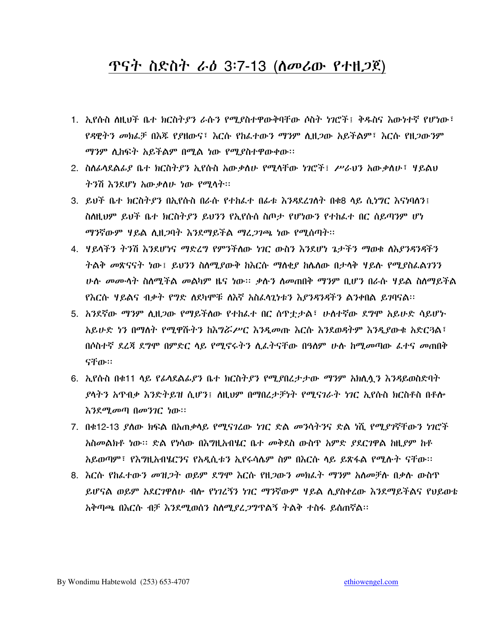## ጥናት ስድስት ራ*ዕ* 3፡7-13 (ስመሪው የተዘ*ጋ*ጀ)

- 1. ኢየሱስ ለዚህች ቤተ ክርስትያን ራሱን የሚያስተዋውቅባቸው ሶስት ነገሮች፤ ቅዱስና እውነተኛ የሆነው፤ *የዳዊትን መክ*ፌቻ በእጁ የያዘውና፣ እርሱ የከፌተው*ን ማን*ም ሊዘ*ጋ*ው አይችልም፣ እርሱ የዘ*ጋ*ውንም ማንም ሊከፍት አይችልም በሚል ነው የሚያስተዋውቀው፡፡
- 2. ስስራሳደልፊያ ቤተ ክርስትያን ኢየሱስ አውቃስሁ የሚሳቸው ነገሮች፤ ሥራህን አውቃስሁ፤ ሃይልህ ትንሽ እንደሆነ አውቃስሁ ነው የሚሳት።
- 3. ይህች ቤተ ክርስትያን በኢየሱስ በራሱ የተከፌተ በፊቱ እንዳደረገለት በቁ8 ላይ ሲነግር እናነባለን፤ ስስዚህም ይህች ቤተ ክርስትያን ይህንን የኢየሱስ ስጦታ የሆነውን የተከራተ በር ሰይጣንም ሆነ ማንኛውም ሃይል ሲዘጋባት እንደማይችል ማረ*ጋገ*ጫ ነው የሚሰጣት፡፡
- 4. ሃይላችን ትንሽ እንደሆነና ማድረግ የምንችስው ነገር ውስን እንደሆነ ጌታችን ማወቁ ለእያንዳንዳችን ትልቅ መጽናናት ነው፤ ይህንን ስለሚደውቅ ከእርሱ ማለቂደ ከሌለው በታላቅ ሃይሉ የሚደስፌልንንን <u>ሁሉ መሙላት ስለሚችል መልካም ዜና ነው፡፡ ቃሉን ስመጠበቅ ማንም ቢሆን በራሱ ሃይል ስለማይችል</u> የእርሱ ሃይልና ብቃት የግድ ለደካሞቹ ለእኛ አስፈሳጊነቱን እያንዳንዳችን ልንቀበል ይገባናል።
- 5. አንደኛው ማንም ሲዘ*ጋ*ው የማይችለው የተከፊተ በር ሰዋቷታል፣ ሁለተኛው ደ**ግ**ሞ አይሁድ ሳይሆኑ አይሁድ ነን በማስት የሚዋሹትን ከእግሯሥር እንዲመጡ እርሱ እንደወዳትም እንዲያውቁ አድርጓል፣ በሶስተኛ ደረጃ ደግሞ በምድር ሳይ የሚኖሩትን ሲፈትናቸው በዓስም ሁሉ ከሚመጣው ፌተና መጠበቅ ናቸው።
- 6. ኢየሱስ በቁ11 ሳይ የፊሳደልፊያን ቤተ ክርስትያን የሚያበረታታው ማንም አክሲሏን እንዳይወስድባት *ያ*ሳተን አዋብቃ እንድተይዝ ሲሆን፤ ስዚህም በማበረታቻነት የሚናገራት ነገር ኢየሱስ ክርስቶስ በቶሎ እንደሚመጣ በመንገር ነው።
- 7. በቁ12-13 ያለው ክፍል በአጠቃላይ የሚናገረው ነገር ድል መንሳትንና ድል ነሺ የሚያገኛቸውን ነገሮች *አ*ስመልክቶ ነው። ድል የነሳው በእግዚአብሄር ቤተ መቅደስ ውስዋ አምድ *ያ*ደርገዋል ከዚያም ከቶ አይወጣም፣ የእግዚአብሄርንና የአዲሲቱን ኢየሩሳሌም ስም በእርሱ ሳይ ይጽፋል የሚሉት ናቸው።
- 8. እርሱ የከፌተውን መዝ*ጋ*ት ወይም ደግሞ እርሱ የዘ*ጋ*ውን መክፈት ማንም አለመቻሉ በቃሉ ውስጥ ይሆናል ወይም አደርገዋስሁ ብሎ የነገረኝን ነገር ማንኛውም ዛይል ሲያስቀረው እንደማይችልና የህይወቴ አቅጣጫ በእርሱ ብቻ እንደሚወሰን ስለሚደረ*ጋግ*ጥልኝ ትልቅ ተስፋ ይሰጠኛል።